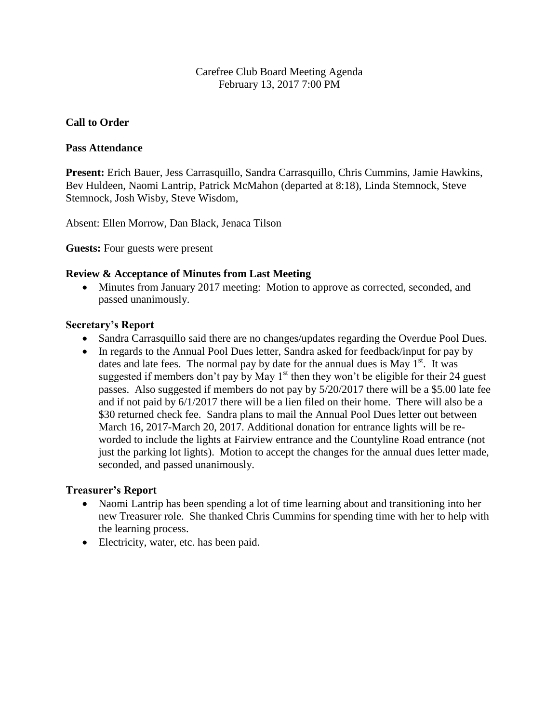### Carefree Club Board Meeting Agenda February 13, 2017 7:00 PM

### **Call to Order**

#### **Pass Attendance**

**Present:** Erich Bauer, Jess Carrasquillo, Sandra Carrasquillo, Chris Cummins, Jamie Hawkins, Bev Huldeen, Naomi Lantrip, Patrick McMahon (departed at 8:18), Linda Stemnock, Steve Stemnock, Josh Wisby, Steve Wisdom,

Absent: Ellen Morrow, Dan Black, Jenaca Tilson

**Guests:** Four guests were present

#### **Review & Acceptance of Minutes from Last Meeting**

• Minutes from January 2017 meeting: Motion to approve as corrected, seconded, and passed unanimously.

#### **Secretary's Report**

- Sandra Carrasquillo said there are no changes/updates regarding the Overdue Pool Dues.
- In regards to the Annual Pool Dues letter, Sandra asked for feedback/input for pay by dates and late fees. The normal pay by date for the annual dues is May  $1<sup>st</sup>$ . It was suggested if members don't pay by May  $1<sup>st</sup>$  then they won't be eligible for their 24 guest passes. Also suggested if members do not pay by 5/20/2017 there will be a \$5.00 late fee and if not paid by 6/1/2017 there will be a lien filed on their home. There will also be a \$30 returned check fee. Sandra plans to mail the Annual Pool Dues letter out between March 16, 2017-March 20, 2017. Additional donation for entrance lights will be reworded to include the lights at Fairview entrance and the Countyline Road entrance (not just the parking lot lights). Motion to accept the changes for the annual dues letter made, seconded, and passed unanimously.

#### **Treasurer's Report**

- Naomi Lantrip has been spending a lot of time learning about and transitioning into her new Treasurer role. She thanked Chris Cummins for spending time with her to help with the learning process.
- Electricity, water, etc. has been paid.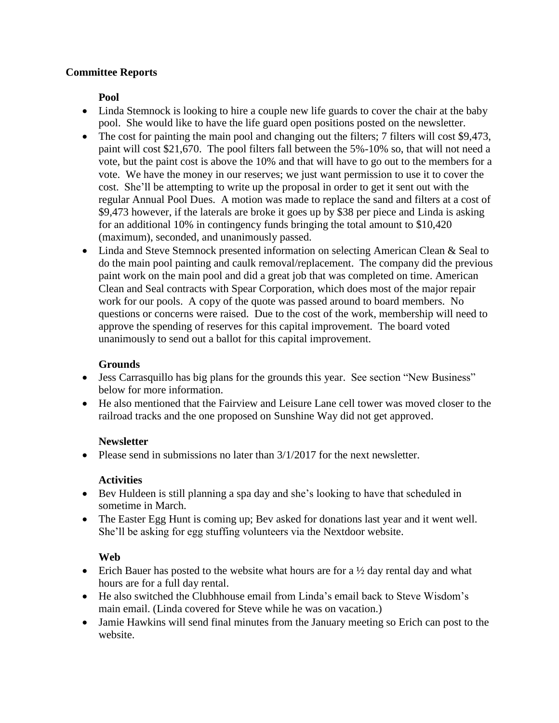# **Committee Reports**

**Pool**

- Linda Stemnock is looking to hire a couple new life guards to cover the chair at the baby pool. She would like to have the life guard open positions posted on the newsletter.
- The cost for painting the main pool and changing out the filters; 7 filters will cost \$9,473, paint will cost \$21,670. The pool filters fall between the 5%-10% so, that will not need a vote, but the paint cost is above the 10% and that will have to go out to the members for a vote. We have the money in our reserves; we just want permission to use it to cover the cost.She'll be attempting to write up the proposal in order to get it sent out with the regular Annual Pool Dues. A motion was made to replace the sand and filters at a cost of \$9,473 however, if the laterals are broke it goes up by \$38 per piece and Linda is asking for an additional 10% in contingency funds bringing the total amount to \$10,420 (maximum), seconded, and unanimously passed.
- Linda and Steve Stemnock presented information on selecting American Clean & Seal to do the main pool painting and caulk removal/replacement. The company did the previous paint work on the main pool and did a great job that was completed on time. American Clean and Seal contracts with Spear Corporation, which does most of the major repair work for our pools. A copy of the quote was passed around to board members. No questions or concerns were raised. Due to the cost of the work, membership will need to approve the spending of reserves for this capital improvement. The board voted unanimously to send out a ballot for this capital improvement.

# **Grounds**

- Jess Carrasquillo has big plans for the grounds this year. See section "New Business" below for more information.
- He also mentioned that the Fairview and Leisure Lane cell tower was moved closer to the railroad tracks and the one proposed on Sunshine Way did not get approved.

# **Newsletter**

• Please send in submissions no later than  $3/1/2017$  for the next newsletter.

# **Activities**

- Bev Huldeen is still planning a spa day and she's looking to have that scheduled in sometime in March.
- The Easter Egg Hunt is coming up; Bev asked for donations last year and it went well. She'll be asking for egg stuffing volunteers via the Nextdoor website.

# **Web**

- Erich Bauer has posted to the website what hours are for a  $\frac{1}{2}$  day rental day and what hours are for a full day rental.
- He also switched the Clubhhouse email from Linda's email back to Steve Wisdom's main email. (Linda covered for Steve while he was on vacation.)
- Jamie Hawkins will send final minutes from the January meeting so Erich can post to the website.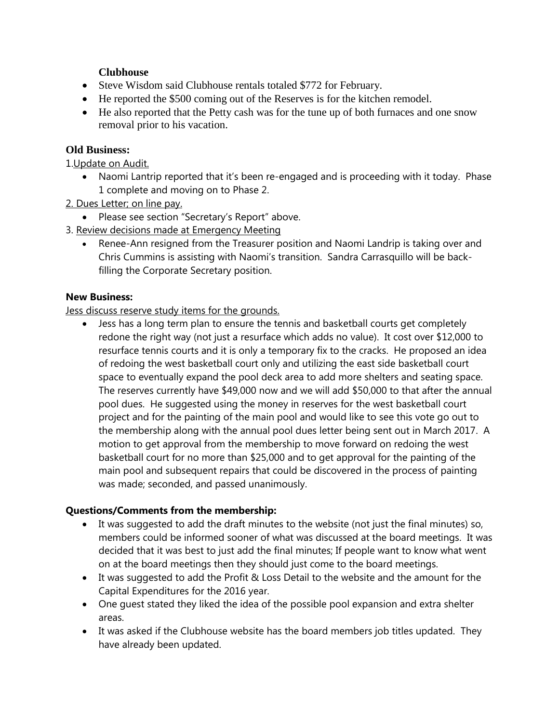# **Clubhouse**

- Steve Wisdom said Clubhouse rentals totaled \$772 for February.
- He reported the \$500 coming out of the Reserves is for the kitchen remodel.
- He also reported that the Petty cash was for the tune up of both furnaces and one snow removal prior to his vacation.

### **Old Business:**

1.Update on Audit.

- Naomi Lantrip reported that it's been re-engaged and is proceeding with it today. Phase 1 complete and moving on to Phase 2.
- 2. Dues Letter; on line pay.
	- Please see section "Secretary's Report" above.
- 3. Review decisions made at Emergency Meeting
	- Renee-Ann resigned from the Treasurer position and Naomi Landrip is taking over and Chris Cummins is assisting with Naomi's transition. Sandra Carrasquillo will be backfilling the Corporate Secretary position.

### **New Business:**

### Jess discuss reserve study items for the grounds.

 Jess has a long term plan to ensure the tennis and basketball courts get completely redone the right way (not just a resurface which adds no value). It cost over \$12,000 to resurface tennis courts and it is only a temporary fix to the cracks. He proposed an idea of redoing the west basketball court only and utilizing the east side basketball court space to eventually expand the pool deck area to add more shelters and seating space. The reserves currently have \$49,000 now and we will add \$50,000 to that after the annual pool dues. He suggested using the money in reserves for the west basketball court project and for the painting of the main pool and would like to see this vote go out to the membership along with the annual pool dues letter being sent out in March 2017. A motion to get approval from the membership to move forward on redoing the west basketball court for no more than \$25,000 and to get approval for the painting of the main pool and subsequent repairs that could be discovered in the process of painting was made; seconded, and passed unanimously.

# **Questions/Comments from the membership:**

- It was suggested to add the draft minutes to the website (not just the final minutes) so, members could be informed sooner of what was discussed at the board meetings. It was decided that it was best to just add the final minutes; If people want to know what went on at the board meetings then they should just come to the board meetings.
- It was suggested to add the Profit & Loss Detail to the website and the amount for the Capital Expenditures for the 2016 year.
- One guest stated they liked the idea of the possible pool expansion and extra shelter areas.
- It was asked if the Clubhouse website has the board members job titles updated. They have already been updated.